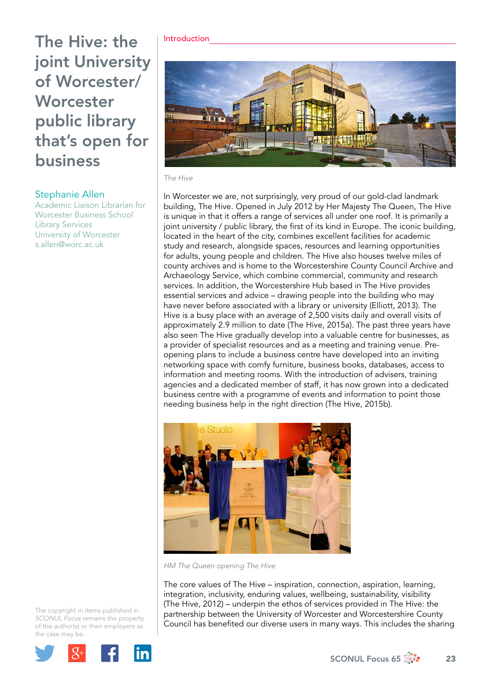# Stephanie Allen

Academic Liaison Librarian for Worcester Business School Library Services University of Worcester [s.allen@worc.ac.uk](mailto:s.allen@worc.ac.uk)

#### Introduction



#### *The Hive*

In Worcester we are, not surprisingly, very proud of our gold-clad landmark building, The Hive. Opened in July 2012 by Her Majesty The Queen, The Hive is unique in that it offers a range of services all under one roof. It is primarily a joint university / public library, the first of its kind in Europe. The iconic building, located in the heart of the city, combines excellent facilities for academic study and research, alongside spaces, resources and learning opportunities for adults, young people and children. The Hive also houses twelve miles of county archives and is home to the Worcestershire County Council Archive and Archaeology Service, which combine commercial, community and research services. In addition, the Worcestershire Hub based in The Hive provides essential services and advice – drawing people into the building who may have never before associated with a library or university (Elliott, 2013). The Hive is a busy place with an average of 2,500 visits daily and overall visits of approximately 2.9 million to date (The Hive, 2015a). The past three years have also seen The Hive gradually develop into a valuable centre for businesses, as a provider of specialist resources and as a meeting and training venue. Preopening plans to include a business centre have developed into an inviting networking space with comfy furniture, business books, databases, access to information and meeting rooms. With the introduction of advisers, training agencies and a dedicated member of staff, it has now grown into a dedicated business centre with a programme of events and information to point those needing business help in the right direction (The Hive, 2015b).



*HM The Queen opening The Hive*

The core values of The Hive – inspiration, connection, aspiration, learning, integration, inclusivity, enduring values, wellbeing, sustainability, visibility (The Hive, 2012) – underpin the ethos of services provided in The Hive: the partnership between the University of Worcester and Worcestershire County Council has benefited our diverse users in many ways. This includes the sharing

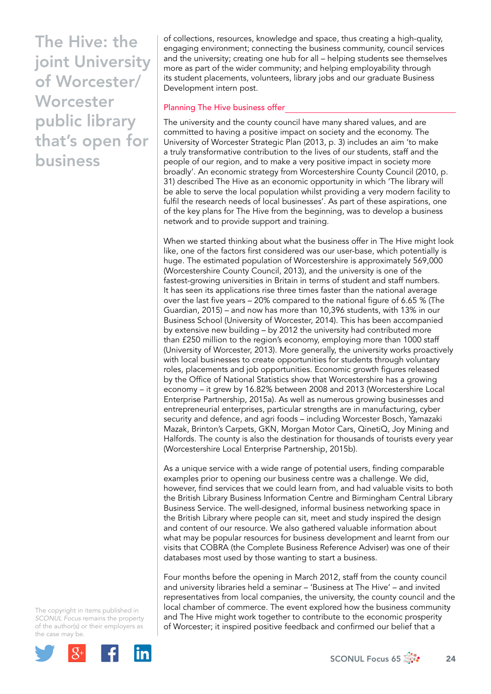of collections, resources, knowledge and space, thus creating a high-quality, engaging environment; connecting the business community, council services and the university; creating one hub for all – helping students see themselves more as part of the wider community; and helping employability through its student placements, volunteers, library jobs and our graduate Business Development intern post.

#### Planning The Hive business offer

The university and the county council have many shared values, and are committed to having a positive impact on society and the economy. The University of Worcester Strategic Plan (2013, p. 3) includes an aim 'to make a truly transformative contribution to the lives of our students, staff and the people of our region, and to make a very positive impact in society more broadly'. An economic strategy from Worcestershire County Council (2010, p. 31) described The Hive as an economic opportunity in which 'The library will be able to serve the local population whilst providing a very modern facility to fulfil the research needs of local businesses'. As part of these aspirations, one of the key plans for The Hive from the beginning, was to develop a business network and to provide support and training.

When we started thinking about what the business offer in The Hive might look like, one of the factors first considered was our user-base, which potentially is huge. The estimated population of Worcestershire is approximately 569,000 (Worcestershire County Council, 2013), and the university is one of the fastest-growing universities in Britain in terms of student and staff numbers. It has seen its applications rise three times faster than the national average over the last five years – 20% compared to the national figure of 6.65 % (The Guardian, 2015) – and now has more than 10,396 students, with 13% in our Business School (University of Worcester, 2014). This has been accompanied by extensive new building – by 2012 the university had contributed more than £250 million to the region's economy, employing more than 1000 staff (University of Worcester, 2013). More generally, the university works proactively with local businesses to create opportunities for students through voluntary roles, placements and job opportunities. Economic growth figures released by the Office of National Statistics show that Worcestershire has a growing economy – it grew by 16.82% between 2008 and 2013 [\(Worcestershire Local](http://www.wlep.co.uk/worcestershire-economic-growth-3rd-highest-england/)  [Enterprise Partnership, 2015a\)](http://www.wlep.co.uk/worcestershire-economic-growth-3rd-highest-england/). As well as numerous growing businesses and entrepreneurial enterprises, particular strengths are in manufacturing, cyber security and defence, and agri foods – including Worcester Bosch, Yamazaki Mazak, Brinton's Carpets, GKN, Morgan Motor Cars, QinetiQ, Joy Mining and Halfords. The county is also the destination for thousands of tourists every year (Worcestershire Local Enterprise Partnership, 2015b).

As a unique service with a wide range of potential users, finding comparable examples prior to opening our business centre was a challenge. We did, however, find services that we could learn from, and had valuable visits to both the British Library Business Information Centre and Birmingham Central Library Business Service. The well-designed, informal business networking space in the British Library where people can sit, meet and study inspired the design and content of our resource. We also gathered valuable information about what may be popular resources for business development and learnt from our visits that COBRA (the Complete Business Reference Adviser) was one of their databases most used by those wanting to start a business.

Four months before the opening in March 2012, staff from the county council and university libraries held a seminar – 'Business at The Hive' – and invited representatives from local companies, the university, the county council and the local chamber of commerce. The event explored how the business community and The Hive might work together to contribute to the economic prosperity of Worcester; it inspired positive feedback and confirmed our belief that a

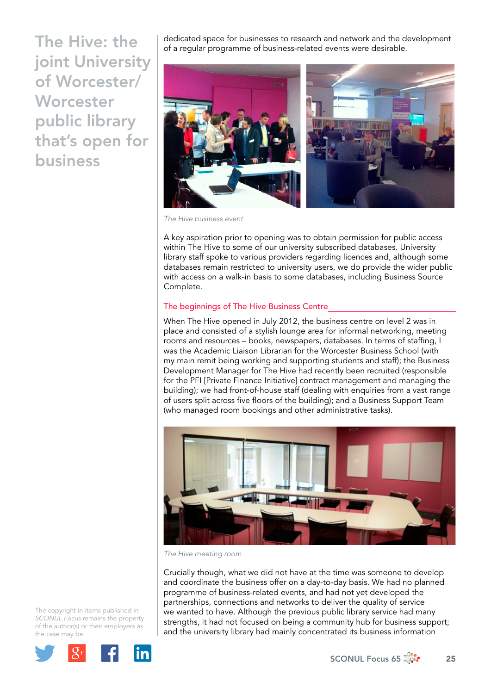dedicated space for businesses to research and network and the development of a regular programme of business-related events were desirable.



*The Hive business event* 

A key aspiration prior to opening was to obtain permission for public access within The Hive to some of our university subscribed databases. University library staff spoke to various providers regarding licences and, although some databases remain restricted to university users, we do provide the wider public with access on a walk-in basis to some databases, including Business Source Complete.

## The beginnings of The Hive Business Centre

When The Hive opened in July 2012, the business centre on level 2 was in place and consisted of a stylish lounge area for informal networking, meeting rooms and resources – books, newspapers, databases. In terms of staffing, I was the Academic Liaison Librarian for the Worcester Business School (with my main remit being working and supporting students and staff); the Business Development Manager for The Hive had recently been recruited (responsible for the PFI [Private Finance Initiative] contract management and managing the building); we had front-of-house staff (dealing with enquiries from a vast range of users split across five floors of the building); and a Business Support Team (who managed room bookings and other administrative tasks).



*The Hive meeting room* 

Crucially though, what we did not have at the time was someone to develop and coordinate the business offer on a day-to-day basis. We had no planned programme of business-related events, and had not yet developed the partnerships, connections and networks to deliver the quality of service we wanted to have. Although the previous public library service had many strengths, it had not focused on being a community hub for business support; and the university library had mainly concentrated its business information

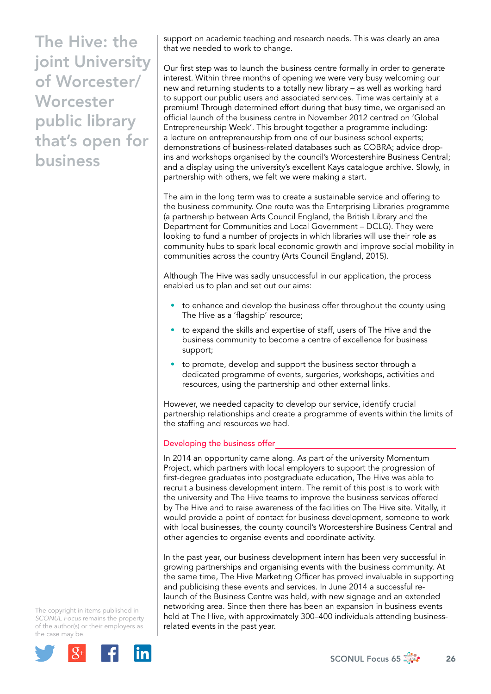support on academic teaching and research needs. This was clearly an area that we needed to work to change.

Our first step was to launch the business centre formally in order to generate interest. Within three months of opening we were very busy welcoming our new and returning students to a totally new library – as well as working hard to support our public users and associated services. Time was certainly at a premium! Through determined effort during that busy time, we organised an official launch of the business centre in November 2012 centred on 'Global Entrepreneurship Week'. This brought together a programme including: a lecture on entrepreneurship from one of our business school experts; demonstrations of business-related databases such as COBRA; advice dropins and workshops organised by the council's Worcestershire Business Central; and a display using the university's excellent Kays catalogue archive. Slowly, in partnership with others, we felt we were making a start.

The aim in the long term was to create a sustainable service and offering to the business community. One route was the Enterprising Libraries programme (a partnership between Arts Council England, the British Library and the Department for Communities and Local Government – DCLG). They were looking to fund a number of projects in which libraries will use their role as community hubs to spark local economic growth and improve social mobility in communities across the country (Arts Council England, 2015).

Although The Hive was sadly unsuccessful in our application, the process enabled us to plan and set out our aims:

- to enhance and develop the business offer throughout the county using The Hive as a 'flagship' resource;
- to expand the skills and expertise of staff, users of The Hive and the business community to become a centre of excellence for business support;
- to promote, develop and support the business sector through a dedicated programme of events, surgeries, workshops, activities and resources, using the partnership and other external links.

However, we needed capacity to develop our service, identify crucial partnership relationships and create a programme of events within the limits of the staffing and resources we had.

## Developing the business offer

In 2014 an opportunity came along. As part of the university Momentum Project, which partners with local employers to support the progression of first-degree graduates into postgraduate education, The Hive was able to recruit a business development intern. The remit of this post is to work with the university and The Hive teams to improve the business services offered by The Hive and to raise awareness of the facilities on The Hive site. Vitally, it would provide a point of contact for business development, someone to work with local businesses, the county council's Worcestershire Business Central and other agencies to organise events and coordinate activity.

In the past year, our business development intern has been very successful in growing partnerships and organising events with the business community. At the same time, The Hive Marketing Officer has proved invaluable in supporting and publicising these events and services. In June 2014 a successful relaunch of the Business Centre was held, with new signage and an extended networking area. Since then there has been an expansion in business events held at The Hive, with approximately 300–400 individuals attending businessrelated events in the past year.



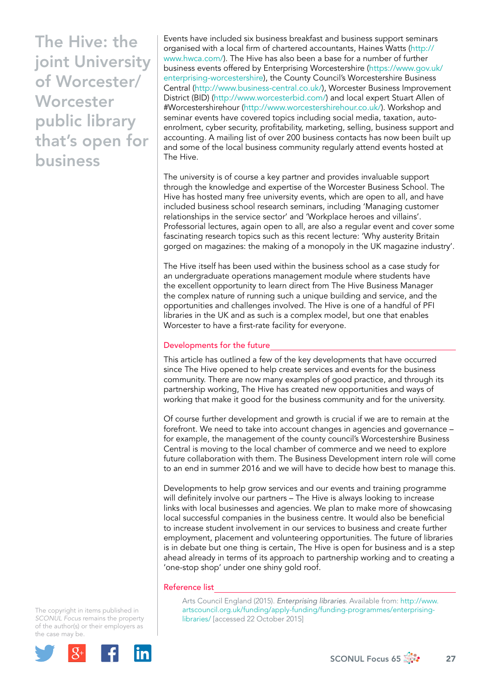Events have included six business breakfast and business support seminars organised with a local firm of chartered accountants, Haines Watts [\(http://](http://www.hwca.com/) [www.hwca.com/\)](http://www.hwca.com/). The Hive has also been a base for a number of further business events offered by Enterprising Worcestershire ([https://www.gov.uk/](https://www.gov.uk/enterprising-worcestershire) [enterprising-worcestershire](https://www.gov.uk/enterprising-worcestershire)), the County Council's Worcestershire Business Central [\(http://www.business-central.co.uk/](http://www.business-central.co.uk/)), Worcester Business Improvement District (BID) [\(http://www.worcesterbid.com/](http://www.worcesterbid.com/)) and local expert Stuart Allen of #Worcestershirehour (<http://www.worcestershirehour.co.uk/>). Workshop and seminar events have covered topics including social media, taxation, autoenrolment, cyber security, profitability, marketing, selling, business support and accounting. A mailing list of over 200 business contacts has now been built up and some of the local business community regularly attend events hosted at The Hive.

The university is of course a key partner and provides invaluable support through the knowledge and expertise of the Worcester Business School. The Hive has hosted many free university events, which are open to all, and have included business school research seminars, including 'Managing customer relationships in the service sector' and 'Workplace heroes and villains'. Professorial lectures, again open to all, are also a regular event and cover some fascinating research topics such as this recent lecture: 'Why austerity Britain gorged on magazines: the making of a monopoly in the UK magazine industry'.

The Hive itself has been used within the business school as a case study for an undergraduate operations management module where students have the excellent opportunity to learn direct from The Hive Business Manager the complex nature of running such a unique building and service, and the opportunities and challenges involved. The Hive is one of a handful of PFI libraries in the UK and as such is a complex model, but one that enables Worcester to have a first-rate facility for everyone.

## Developments for the future

This article has outlined a few of the key developments that have occurred since The Hive opened to help create services and events for the business community. There are now many examples of good practice, and through its partnership working, The Hive has created new opportunities and ways of working that make it good for the business community and for the university.

Of course further development and growth is crucial if we are to remain at the forefront. We need to take into account changes in agencies and governance – for example, the management of the county council's Worcestershire Business Central is moving to the local chamber of commerce and we need to explore future collaboration with them. The Business Development intern role will come to an end in summer 2016 and we will have to decide how best to manage this.

Developments to help grow services and our events and training programme will definitely involve our partners – The Hive is always looking to increase links with local businesses and agencies. We plan to make more of showcasing local successful companies in the business centre. It would also be beneficial to increase student involvement in our services to business and create further employment, placement and volunteering opportunities. The future of libraries is in debate but one thing is certain, The Hive is open for business and is a step ahead already in terms of its approach to partnership working and to creating a 'one-stop shop' under one shiny gold roof.

#### Reference list

Arts Council England (2015). *Enterprising libraries*. Available from: [http://www.](http://www.artscouncil.org.uk/funding/apply-funding/funding-programmes/enterprising-libraries/) [artscouncil.org.uk/funding/apply-funding/funding-programmes/enterprising](http://www.artscouncil.org.uk/funding/apply-funding/funding-programmes/enterprising-libraries/)[libraries/](http://www.artscouncil.org.uk/funding/apply-funding/funding-programmes/enterprising-libraries/) [accessed 22 October 2015]

The copyright in items published in *SCONUL Focus* remains the property of the author(s) or their employers as the case may be.



SCONUL Focus 65  $\frac{27}{27}$  27